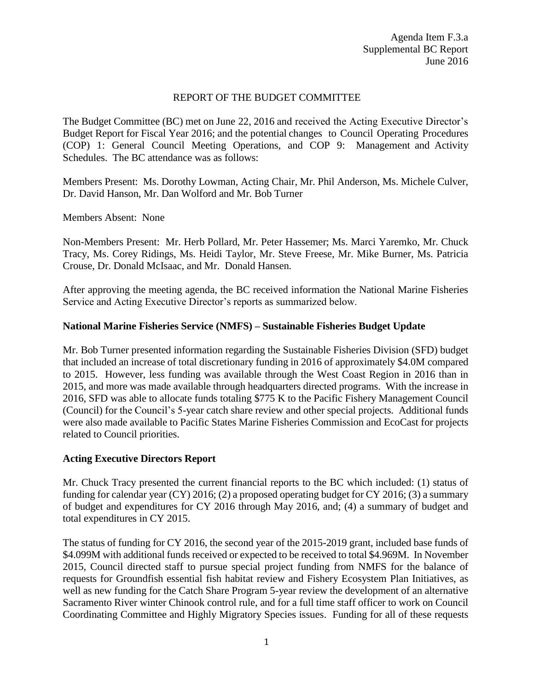### REPORT OF THE BUDGET COMMITTEE

The Budget Committee (BC) met on June 22, 2016 and received the Acting Executive Director's Budget Report for Fiscal Year 2016; and the potential changes to Council Operating Procedures (COP) 1: General Council Meeting Operations, and COP 9: Management and Activity Schedules. The BC attendance was as follows:

Members Present: Ms. Dorothy Lowman, Acting Chair, Mr. Phil Anderson, Ms. Michele Culver, Dr. David Hanson, Mr. Dan Wolford and Mr. Bob Turner

Members Absent: None

Non-Members Present: Mr. Herb Pollard, Mr. Peter Hassemer; Ms. Marci Yaremko, Mr. Chuck Tracy, Ms. Corey Ridings, Ms. Heidi Taylor, Mr. Steve Freese, Mr. Mike Burner, Ms. Patricia Crouse, Dr. Donald McIsaac, and Mr. Donald Hansen.

After approving the meeting agenda, the BC received information the National Marine Fisheries Service and Acting Executive Director's reports as summarized below.

## **National Marine Fisheries Service (NMFS) – Sustainable Fisheries Budget Update**

Mr. Bob Turner presented information regarding the Sustainable Fisheries Division (SFD) budget that included an increase of total discretionary funding in 2016 of approximately \$4.0M compared to 2015. However, less funding was available through the West Coast Region in 2016 than in 2015, and more was made available through headquarters directed programs. With the increase in 2016, SFD was able to allocate funds totaling \$775 K to the Pacific Fishery Management Council (Council) for the Council's 5-year catch share review and other special projects. Additional funds were also made available to Pacific States Marine Fisheries Commission and EcoCast for projects related to Council priorities.

#### **Acting Executive Directors Report**

Mr. Chuck Tracy presented the current financial reports to the BC which included: (1) status of funding for calendar year (CY) 2016; (2) a proposed operating budget for CY 2016; (3) a summary of budget and expenditures for CY 2016 through May 2016, and; (4) a summary of budget and total expenditures in CY 2015.

The status of funding for CY 2016, the second year of the 2015-2019 grant, included base funds of \$4.099M with additional funds received or expected to be received to total \$4.969M. In November 2015, Council directed staff to pursue special project funding from NMFS for the balance of requests for Groundfish essential fish habitat review and Fishery Ecosystem Plan Initiatives, as well as new funding for the Catch Share Program 5-year review the development of an alternative Sacramento River winter Chinook control rule, and for a full time staff officer to work on Council Coordinating Committee and Highly Migratory Species issues. Funding for all of these requests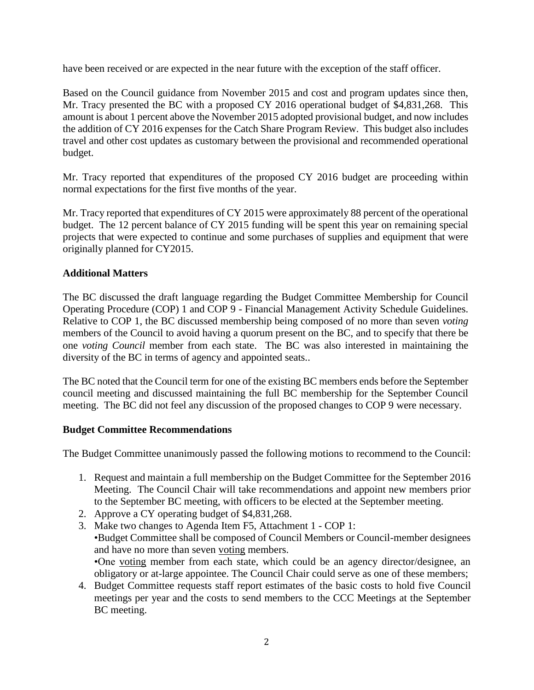have been received or are expected in the near future with the exception of the staff officer.

Based on the Council guidance from November 2015 and cost and program updates since then, Mr. Tracy presented the BC with a proposed CY 2016 operational budget of \$4,831,268. This amount is about 1 percent above the November 2015 adopted provisional budget, and now includes the addition of CY 2016 expenses for the Catch Share Program Review. This budget also includes travel and other cost updates as customary between the provisional and recommended operational budget.

Mr. Tracy reported that expenditures of the proposed CY 2016 budget are proceeding within normal expectations for the first five months of the year.

Mr. Tracy reported that expenditures of CY 2015 were approximately 88 percent of the operational budget. The 12 percent balance of CY 2015 funding will be spent this year on remaining special projects that were expected to continue and some purchases of supplies and equipment that were originally planned for CY2015.

# **Additional Matters**

The BC discussed the draft language regarding the Budget Committee Membership for Council Operating Procedure (COP) 1 and COP 9 - Financial Management Activity Schedule Guidelines. Relative to COP 1, the BC discussed membership being composed of no more than seven *voting* members of the Council to avoid having a quorum present on the BC, and to specify that there be one *voting Council* member from each state. The BC was also interested in maintaining the diversity of the BC in terms of agency and appointed seats..

The BC noted that the Council term for one of the existing BC members ends before the September council meeting and discussed maintaining the full BC membership for the September Council meeting. The BC did not feel any discussion of the proposed changes to COP 9 were necessary.

#### **Budget Committee Recommendations**

The Budget Committee unanimously passed the following motions to recommend to the Council:

- 1. Request and maintain a full membership on the Budget Committee for the September 2016 Meeting. The Council Chair will take recommendations and appoint new members prior to the September BC meeting, with officers to be elected at the September meeting.
- 2. Approve a CY operating budget of \$4,831,268.
- 3. Make two changes to Agenda Item F5, Attachment 1 COP 1: •Budget Committee shall be composed of Council Members or Council-member designees and have no more than seven voting members. •One voting member from each state, which could be an agency director/designee, an obligatory or at-large appointee. The Council Chair could serve as one of these members;
- 4. Budget Committee requests staff report estimates of the basic costs to hold five Council meetings per year and the costs to send members to the CCC Meetings at the September BC meeting.